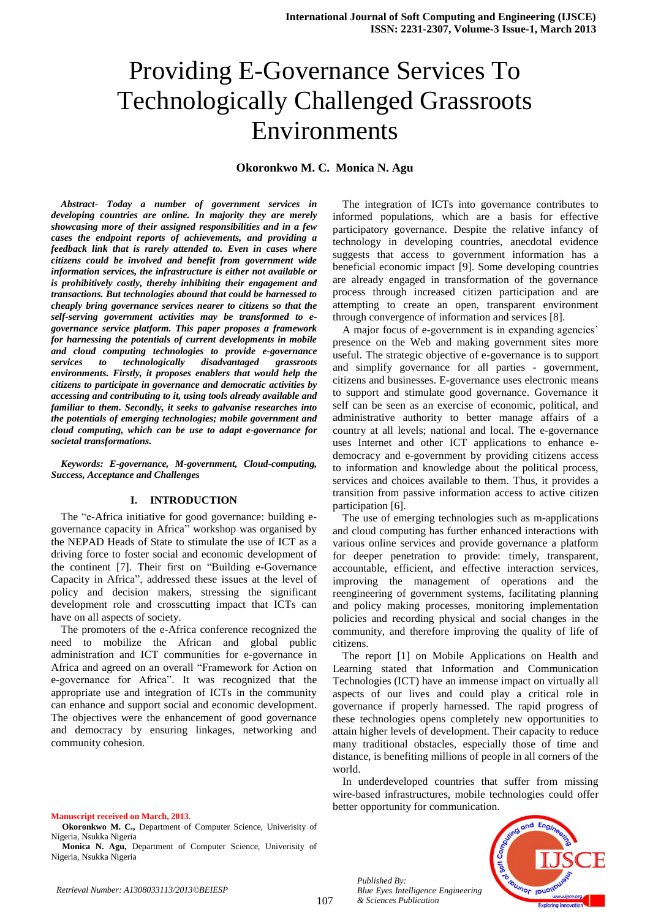# Providing E-Governance Services To Technologically Challenged Grassroots Environments

**Okoronkwo M. C. Monica N. Agu**

*Abstract- Today a number of government services in developing countries are online. In majority they are merely showcasing more of their assigned responsibilities and in a few cases the endpoint reports of achievements, and providing a feedback link that is rarely attended to. Even in cases where citizens could be involved and benefit from government wide information services, the infrastructure is either not available or is prohibitively costly, thereby inhibiting their engagement and transactions. But technologies abound that could be harnessed to cheaply bring governance services nearer to citizens so that the self-serving government activities may be transformed to egovernance service platform. This paper proposes a framework for harnessing the potentials of current developments in mobile and cloud computing technologies to provide e-governance services to technologically disadvantaged grassroots environments. Firstly, it proposes enablers that would help the citizens to participate in governance and democratic activities by accessing and contributing to it, using tools already available and familiar to them. Secondly, it seeks to galvanise researches into the potentials of emerging technologies; mobile government and cloud computing, which can be use to adapt e-governance for societal transformations.*

*Keywords: E-governance, M-government, Cloud-computing, Success, Acceptance and Challenges*

#### **I. INTRODUCTION**

The "e-Africa initiative for good governance: building egovernance capacity in Africa" workshop was organised by the NEPAD Heads of State to stimulate the use of ICT as a driving force to foster social and economic development of the continent [7]. Their first on "Building e-Governance Capacity in Africa", addressed these issues at the level of policy and decision makers, stressing the significant development role and crosscutting impact that ICTs can have on all aspects of society.

The promoters of the e-Africa conference recognized the need to mobilize the African and global public administration and ICT communities for e-governance in Africa and agreed on an overall "Framework for Action on e-governance for Africa". It was recognized that the appropriate use and integration of ICTs in the community can enhance and support social and economic development. The objectives were the enhancement of good governance and democracy by ensuring linkages, networking and community cohesion.

#### **Manuscript received on March, 2013**.

**Okoronkwo M. C.,** Department of Computer Science, Univerisity of Nigeria, Nsukka Nigeria

**Monica N. Agu,** Department of Computer Science, Univerisity of Nigeria, Nsukka Nigeria

The integration of ICTs into governance contributes to informed populations, which are a basis for effective participatory governance. Despite the relative infancy of technology in developing countries, anecdotal evidence suggests that access to government information has a beneficial economic impact [9]. Some developing countries are already engaged in transformation of the governance process through increased citizen participation and are attempting to create an open, transparent environment through convergence of information and services [8].

A major focus of e-government is in expanding agencies' presence on the Web and making government sites more useful. The strategic objective of e-governance is to support and simplify governance for all parties - government, citizens and businesses. E-governance uses electronic means to support and stimulate good governance. Governance it self can be seen as an exercise of economic, political, and administrative authority to better manage affairs of a country at all levels; national and local. The e-governance uses Internet and other ICT applications to enhance edemocracy and e-government by providing citizens access to information and knowledge about the political process, services and choices available to them. Thus, it provides a transition from passive information access to active citizen participation [6].

The use of emerging technologies such as m-applications and cloud computing has further enhanced interactions with various online services and provide governance a platform for deeper penetration to provide: timely, transparent, accountable, efficient, and effective interaction services, improving the management of operations and the reengineering of government systems, facilitating planning and policy making processes, monitoring implementation policies and recording physical and social changes in the community, and therefore improving the quality of life of citizens.

The report [1] on Mobile Applications on Health and Learning stated that Information and Communication Technologies (ICT) have an immense impact on virtually all aspects of our lives and could play a critical role in governance if properly harnessed. The rapid progress of these technologies opens completely new opportunities to attain higher levels of development. Their capacity to reduce many traditional obstacles, especially those of time and distance, is benefiting millions of people in all corners of the world.

In underdeveloped countries that suffer from missing wire-based infrastructures, mobile technologies could offer better opportunity for communication.

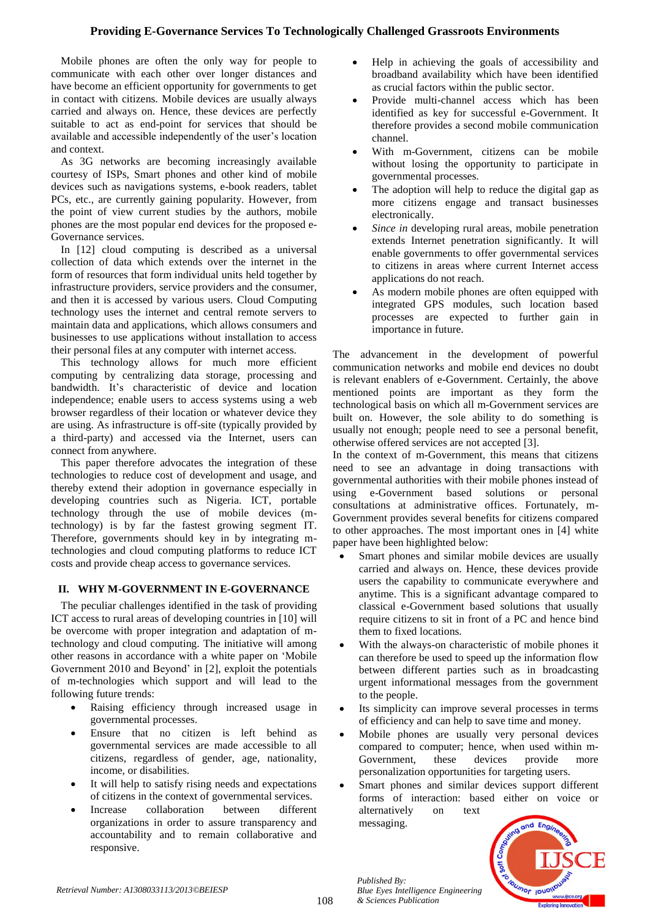# **Providing E-Governance Services To Technologically Challenged Grassroots Environments**

Mobile phones are often the only way for people to communicate with each other over longer distances and have become an efficient opportunity for governments to get in contact with citizens. Mobile devices are usually always carried and always on. Hence, these devices are perfectly suitable to act as end-point for services that should be available and accessible independently of the user's location and context.

As 3G networks are becoming increasingly available courtesy of ISPs, Smart phones and other kind of mobile devices such as navigations systems, e-book readers, tablet PCs, etc., are currently gaining popularity. However, from the point of view current studies by the authors, mobile phones are the most popular end devices for the proposed e-Governance services.

In [12] cloud computing is described as a universal collection of data which extends over the internet in the form of resources that form individual units held together by infrastructure providers, service providers and the consumer, and then it is accessed by various users. Cloud Computing technology uses the internet and central remote servers to maintain data and applications, which allows consumers and businesses to use applications without installation to access their personal files at any computer with internet access.

This technology allows for much more efficient computing by centralizing data storage, processing and bandwidth. It's characteristic of device and location independence; enable users to access systems using a web browser regardless of their location or whatever device they are using. As infrastructure is off-site (typically provided by a third-party) and accessed via the Internet, users can connect from anywhere.

This paper therefore advocates the integration of these technologies to reduce cost of development and usage, and thereby extend their adoption in governance especially in developing countries such as Nigeria. ICT, portable technology through the use of mobile devices (mtechnology) is by far the fastest growing segment IT. Therefore, governments should key in by integrating mtechnologies and cloud computing platforms to reduce ICT costs and provide cheap access to governance services.

## **II. WHY M-GOVERNMENT IN E-GOVERNANCE**

The peculiar challenges identified in the task of providing ICT access to rural areas of developing countries in [10] will be overcome with proper integration and adaptation of mtechnology and cloud computing. The initiative will among other reasons in accordance with a white paper on 'Mobile Government 2010 and Beyond' in [2], exploit the potentials of m-technologies which support and will lead to the following future trends:

- Raising efficiency through increased usage in governmental processes.
- Ensure that no citizen is left behind as governmental services are made accessible to all citizens, regardless of gender, age, nationality, income, or disabilities.
- It will help to satisfy rising needs and expectations of citizens in the context of governmental services.
- Increase collaboration between different organizations in order to assure transparency and accountability and to remain collaborative and responsive.
- Help in achieving the goals of accessibility and broadband availability which have been identified as crucial factors within the public sector.
- Provide multi-channel access which has been identified as key for successful e-Government. It therefore provides a second mobile communication channel.
- With m-Government, citizens can be mobile without losing the opportunity to participate in governmental processes.
- The adoption will help to reduce the digital gap as more citizens engage and transact businesses electronically.
- *Since in* developing rural areas, mobile penetration extends Internet penetration significantly. It will enable governments to offer governmental services to citizens in areas where current Internet access applications do not reach.
- As modern mobile phones are often equipped with integrated GPS modules, such location based processes are expected to further gain in importance in future.

The advancement in the development of powerful communication networks and mobile end devices no doubt is relevant enablers of e-Government. Certainly, the above mentioned points are important as they form the technological basis on which all m-Government services are built on. However, the sole ability to do something is usually not enough; people need to see a personal benefit, otherwise offered services are not accepted [3].

In the context of m-Government, this means that citizens need to see an advantage in doing transactions with governmental authorities with their mobile phones instead of using e-Government based solutions or personal consultations at administrative offices. Fortunately, m-Government provides several benefits for citizens compared to other approaches. The most important ones in [4] white paper have been highlighted below:

- Smart phones and similar mobile devices are usually carried and always on. Hence, these devices provide users the capability to communicate everywhere and anytime. This is a significant advantage compared to classical e-Government based solutions that usually require citizens to sit in front of a PC and hence bind them to fixed locations.
- With the always-on characteristic of mobile phones it can therefore be used to speed up the information flow between different parties such as in broadcasting urgent informational messages from the government to the people.
- Its simplicity can improve several processes in terms of efficiency and can help to save time and money.
- Mobile phones are usually very personal devices compared to computer; hence, when used within m-Government, these devices provide more personalization opportunities for targeting users.
- Smart phones and similar devices support different forms of interaction: based either on voice or alternatively on text messaging.

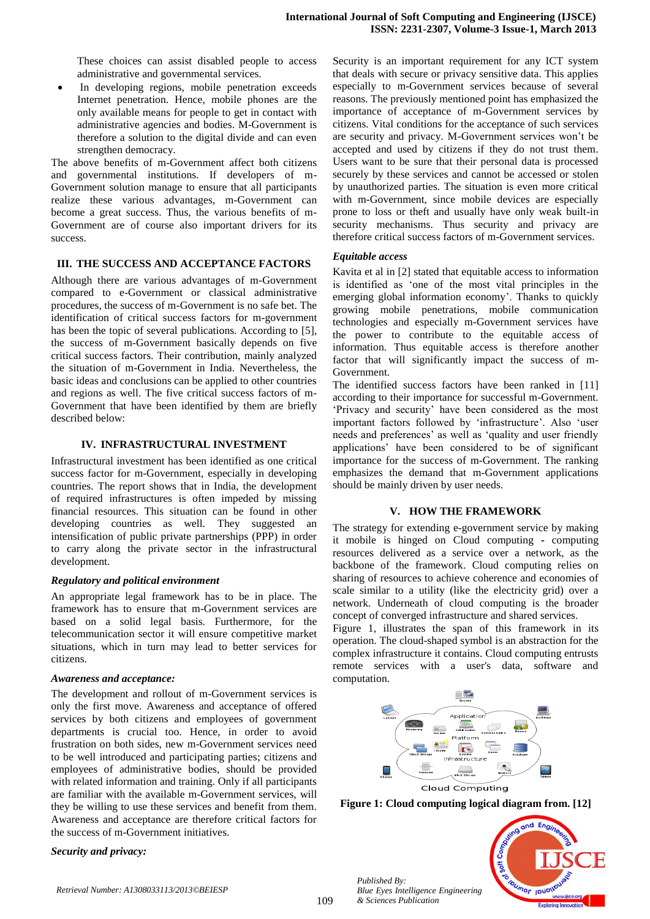These choices can assist disabled people to access administrative and governmental services.

 In developing regions, mobile penetration exceeds Internet penetration. Hence, mobile phones are the only available means for people to get in contact with administrative agencies and bodies. M-Government is therefore a solution to the digital divide and can even strengthen democracy.

The above benefits of m-Government affect both citizens and governmental institutions. If developers of m-Government solution manage to ensure that all participants realize these various advantages, m-Government can become a great success. Thus, the various benefits of m-Government are of course also important drivers for its success.

#### **III. THE SUCCESS AND ACCEPTANCE FACTORS**

Although there are various advantages of m-Government compared to e-Government or classical administrative procedures, the success of m-Government is no safe bet. The identification of critical success factors for m-government has been the topic of several publications. According to [5], the success of m-Government basically depends on five critical success factors. Their contribution, mainly analyzed the situation of m-Government in India. Nevertheless, the basic ideas and conclusions can be applied to other countries and regions as well. The five critical success factors of m-Government that have been identified by them are briefly described below:

#### **IV. INFRASTRUCTURAL INVESTMENT**

Infrastructural investment has been identified as one critical success factor for m-Government, especially in developing countries. The report shows that in India, the development of required infrastructures is often impeded by missing financial resources. This situation can be found in other developing countries as well. They suggested an intensification of public private partnerships (PPP) in order to carry along the private sector in the infrastructural development.

#### *Regulatory and political environment*

An appropriate legal framework has to be in place. The framework has to ensure that m-Government services are based on a solid legal basis. Furthermore, for the telecommunication sector it will ensure competitive market situations, which in turn may lead to better services for citizens.

#### *Awareness and acceptance:*

The development and rollout of m-Government services is only the first move. Awareness and acceptance of offered services by both citizens and employees of government departments is crucial too. Hence, in order to avoid frustration on both sides, new m-Government services need to be well introduced and participating parties; citizens and employees of administrative bodies, should be provided with related information and training. Only if all participants are familiar with the available m-Government services, will they be willing to use these services and benefit from them. Awareness and acceptance are therefore critical factors for the success of m-Government initiatives.

#### *Security and privacy:*

Security is an important requirement for any ICT system that deals with secure or privacy sensitive data. This applies especially to m-Government services because of several reasons. The previously mentioned point has emphasized the importance of acceptance of m-Government services by citizens. Vital conditions for the acceptance of such services are security and privacy. M-Government services won't be accepted and used by citizens if they do not trust them. Users want to be sure that their personal data is processed securely by these services and cannot be accessed or stolen by unauthorized parties. The situation is even more critical with m-Government, since mobile devices are especially prone to loss or theft and usually have only weak built-in security mechanisms. Thus security and privacy are therefore critical success factors of m-Government services.

#### *Equitable access*

Kavita et al in [2] stated that equitable access to information is identified as 'one of the most vital principles in the emerging global information economy'. Thanks to quickly growing mobile penetrations, mobile communication technologies and especially m-Government services have the power to contribute to the equitable access of information. Thus equitable access is therefore another factor that will significantly impact the success of m-Government.

The identified success factors have been ranked in [11] according to their importance for successful m-Government. 'Privacy and security' have been considered as the most important factors followed by 'infrastructure'. Also 'user needs and preferences' as well as 'quality and user friendly applications' have been considered to be of significant importance for the success of m-Government. The ranking emphasizes the demand that m-Government applications should be mainly driven by user needs.

#### **V. HOW THE FRAMEWORK**

The strategy for extending e-government service by making it mobile is hinged on Cloud computing **-** computing resources delivered as a service over a network, as the backbone of the framework. Cloud computing relies on sharing of resources to achieve coherence and economies of scale similar to a utility (like the electricity grid) over a network. Underneath of cloud computing is the broader concept of converged infrastructure and shared services.

Figure 1, illustrates the span of this framework in its operation. The cloud-shaped symbol is an abstraction for the complex infrastructure it contains. Cloud computing entrusts remote services with a user's data, software and computation.



**Figure 1: Cloud computing logical diagram from. [12]**

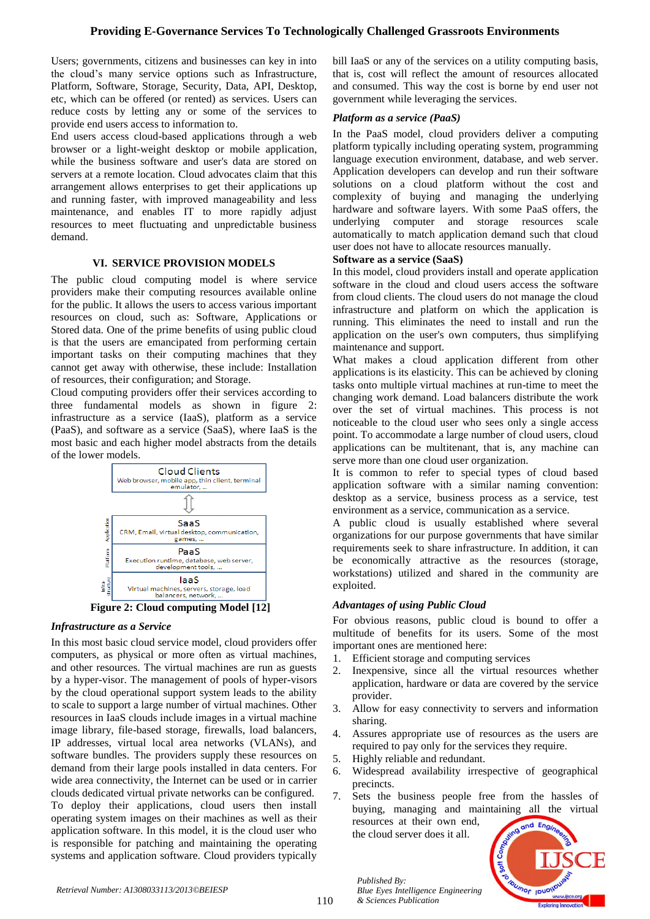# **Providing E-Governance Services To Technologically Challenged Grassroots Environments**

Users; governments, citizens and businesses can key in into the cloud's many service options such as Infrastructure, Platform, Software, Storage, Security, Data, API, Desktop, etc, which can be offered (or rented) as services. Users can reduce costs by letting any or some of the services to provide end users access to information to.

End users access cloud-based applications through a web browser or a light-weight desktop or mobile application, while the business software and user's data are stored on servers at a remote location. Cloud advocates claim that this arrangement allows enterprises to get their applications up and running faster, with improved manageability and less maintenance, and enables IT to more rapidly adjust resources to meet fluctuating and unpredictable business demand.

#### **VI. SERVICE PROVISION MODELS**

The public cloud computing model is where service providers make their computing resources available online for the public. It allows the users to access various important resources on cloud, such as: Software, Applications or Stored data. One of the prime benefits of using public cloud is that the users are emancipated from performing certain important tasks on their computing machines that they cannot get away with otherwise, these include: Installation of resources, their configuration; and Storage.

Cloud computing providers offer their services according to three fundamental models as shown in figure 2: infrastructure as a service (IaaS), platform as a service (PaaS), and software as a service (SaaS), where IaaS is the most basic and each higher model abstracts from the details of the lower models.





## *Infrastructure as a Service*

In this most basic cloud service model, cloud providers offer computers, as physical or more often as virtual machines, and other resources. The virtual machines are run as guests by a hyper-visor. The management of pools of hyper-visors by the cloud operational support system leads to the ability to scale to support a large number of virtual machines. Other resources in IaaS clouds include images in a virtual machine image library, file-based storage, firewalls, load balancers, IP addresses, virtual local area networks (VLANs), and software bundles. The providers supply these resources on demand from their large pools installed in data centers. For wide area connectivity, the Internet can be used or in carrier clouds dedicated virtual private networks can be configured. To deploy their applications, cloud users then install operating system images on their machines as well as their application software. In this model, it is the cloud user who is responsible for patching and maintaining the operating systems and application software. Cloud providers typically bill IaaS or any of the services on a utility computing basis, that is, cost will reflect the amount of resources allocated and consumed. This way the cost is borne by end user not government while leveraging the services.

#### *Platform as a service (PaaS)*

In the PaaS model, cloud providers deliver a computing platform typically including operating system, programming language execution environment, database, and web server. Application developers can develop and run their software solutions on a cloud platform without the cost and complexity of buying and managing the underlying hardware and software layers. With some PaaS offers, the underlying computer and storage resources scale automatically to match application demand such that cloud user does not have to allocate resources manually.

#### **Software as a service (SaaS)**

In this model, cloud providers install and operate application software in the cloud and cloud users access the software from cloud clients. The cloud users do not manage the cloud infrastructure and platform on which the application is running. This eliminates the need to install and run the application on the user's own computers, thus simplifying maintenance and support.

What makes a cloud application different from other applications is its elasticity. This can be achieved by cloning tasks onto multiple virtual machines at run-time to meet the changing work demand. Load balancers distribute the work over the set of virtual machines. This process is not noticeable to the cloud user who sees only a single access point. To accommodate a large number of cloud users, cloud applications can be multitenant, that is, any machine can serve more than one cloud user organization.

It is common to refer to special types of cloud based application software with a similar naming convention: desktop as a service, business process as a service, test environment as a service, communication as a service.

A public cloud is usually established where several organizations for our purpose governments that have similar requirements seek to share infrastructure. In addition, it can be economically attractive as the resources (storage, workstations) utilized and shared in the community are exploited.

## *Advantages of using Public Cloud*

For obvious reasons, public cloud is bound to offer a multitude of benefits for its users. Some of the most important ones are mentioned here:

- 1. Efficient storage and computing services
- 2. Inexpensive, since all the virtual resources whether application, hardware or data are covered by the service provider.
- 3. Allow for easy connectivity to servers and information sharing.
- 4. Assures appropriate use of resources as the users are required to pay only for the services they require.
- 5. Highly reliable and redundant.

the cloud server does it all.

*Blue Eyes Intelligence Engineering* 

*Published By:*

*& Sciences Publication* 

- 6. Widespread availability irrespective of geographical precincts.
- 7. Sets the business people free from the hassles of buying, managing and maintaining all the virtual resources at their own end,